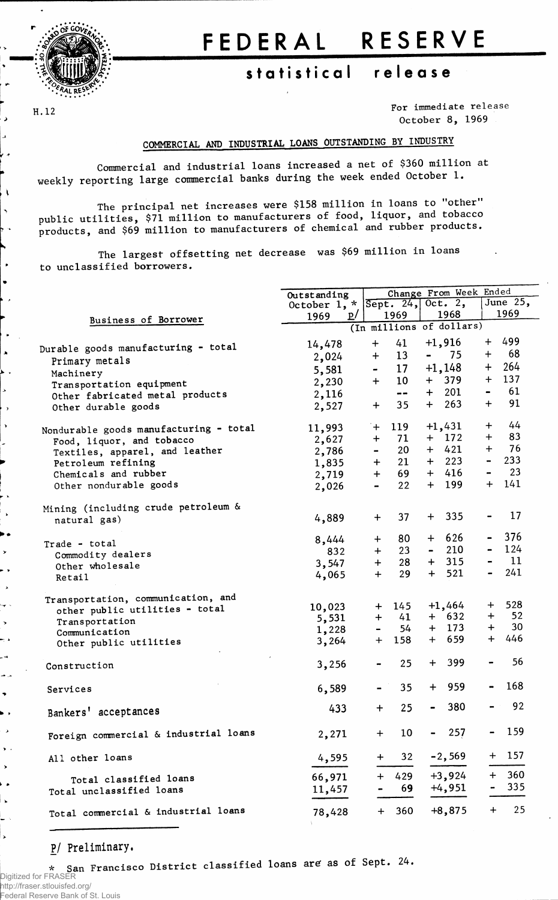

# FEDERAL RESERVE

# statistical release

H.12

 $\lambda$ 

 $\bullet$ 

For immediate release October 8, 1969

## COMMERCIAL AND INDUSTRIAL LOANS OUTSTANDING BY INDUSTRY

Commercial and industrial loans increased a net of \$360 million at weekly reporting large commercial banks during the week ended October 1.

The principal net increases were \$158 million in loans to "other" public utilities, \$71 million to manufacturers of food, liquor, and tobacco<br>products, and \$69 million to manufacturers of chemical and rubber products.

The largest offsetting net decrease was \$69 million in loans to unclassified borrowers.

|                                        | Outstanding                       |                  |                              |                | Change From Week Ended   |                |            |  |  |
|----------------------------------------|-----------------------------------|------------------|------------------------------|----------------|--------------------------|----------------|------------|--|--|
|                                        | October 1, * $S$ ept. 24, Oct. 2, |                  |                              |                |                          |                | June $25,$ |  |  |
|                                        | <u>p/</u><br>1969                 |                  | 1969                         |                | 1968                     |                | 1969       |  |  |
| Business of Borrower                   |                                   |                  |                              |                | (In millions of dollars) |                |            |  |  |
|                                        | 14,478                            | $+$              | 41                           |                | $+1,916$                 | $+$            | 499        |  |  |
| Durable goods manufacturing - total    | 2,024                             | $\div$           | 13                           | $\blacksquare$ | 75                       | $\ddag$        | 68         |  |  |
| Primary metals                         |                                   |                  | 17 <sup>17</sup>             |                | $+1,148$                 | $\ddot{}$      | 264        |  |  |
| Machinery                              | 5,581                             |                  | 10 <sup>°</sup>              |                | + 379                    |                | $+ 137$    |  |  |
| Transportation equipment               | 2,230                             | $+$              |                              |                | 201                      |                | $- 61$     |  |  |
| Other fabricated metal products        | 2,116                             |                  | $\qquad \qquad \blacksquare$ | $+$            |                          |                | 91         |  |  |
| Other durable goods                    | 2,527                             | $\ddot{}$        | 35                           | $+$            | 263                      | $+$            |            |  |  |
| Nondurable goods manufacturing - total | 11,993                            | $+$              | 119                          |                | $+1,431$                 | $+$            | 44         |  |  |
| Food, liquor, and tobacco              | 2,627                             | $\ddot{}$        | 71                           |                | $+$ 172                  | $+$            | 83         |  |  |
| Textiles, apparel, and leather         | 2,786                             | $\blacksquare$   | 20                           |                | $+ 421$                  | $+$            | 76         |  |  |
| Petroleum refining                     | 1,835                             | $+$              | 21                           |                | $+$ 223                  | $\blacksquare$ | 233        |  |  |
| Chemicals and rubber                   | 2,719                             | $+$              | 69                           |                | $+ 416$                  | $\blacksquare$ | 23         |  |  |
| Other nondurable goods                 | 2,026                             | $\blacksquare$   | 22                           |                | $+ 199$                  |                | $+ 141$    |  |  |
|                                        |                                   |                  |                              |                |                          |                |            |  |  |
| Mining (including crude petroleum &    |                                   |                  |                              |                |                          |                |            |  |  |
| natural gas)                           | 4,889                             | $+$              | 37                           | $+$            | 335                      |                | 17         |  |  |
| Trade - total                          | 8,444                             | $+$              | 80                           |                | $+ 626$                  | $\blacksquare$ | 376        |  |  |
| Commodity dealers                      | 832                               | $+$              | 23                           | $\blacksquare$ | 210                      | $\blacksquare$ | 124        |  |  |
| Other wholesale                        | 3,547                             | $+$              | 28                           |                | $+ 315$                  |                | 11         |  |  |
| Retail                                 | 4,065                             | $+$              | 29                           | $+$            | 521                      | $\blacksquare$ | 241        |  |  |
|                                        |                                   |                  |                              |                |                          |                |            |  |  |
| Transportation, communication, and     | 10,023                            | $+$              | 145                          |                | $+1,464$                 | $+$            | 528        |  |  |
| other public utilities - total         | 5,531                             | $+$              | 41                           |                | $+ 632$                  | ┿              | 52         |  |  |
| Transportation                         | 1,228                             |                  | 54                           |                | $+$ 173                  | $+$ $-$        | 30         |  |  |
| Communication                          | 3,264                             | $+$              | 158                          |                | $+ 659$                  | $+$            | 446        |  |  |
| Other public utilities                 |                                   |                  |                              |                |                          |                |            |  |  |
| Construction                           | 3,256                             |                  | 25                           |                | $+ 399$                  |                | 56         |  |  |
| Services                               | 6,589                             |                  | 35                           | $+$            | 959                      |                | 168        |  |  |
| Bankers' acceptances                   | 433                               | $\ddot{}$        | 25                           |                | 380                      |                | 92         |  |  |
| Foreign commercial & industrial loans  | 2,271                             | $\boldsymbol{+}$ | 10                           | -              | 257                      |                | 159        |  |  |
| All other loans                        | 4,595                             | +                | 32                           |                | $-2,569$                 | $\pm$          | 157        |  |  |
| Total classified loans                 | 66,971                            | $\ddot{}$        | 429                          |                | $+3,924$                 | $+$            | 360        |  |  |
| Total unclassified loans               | 11,457                            |                  | 69                           |                | $+4,951$                 |                | 335        |  |  |
| Total commercial & industrial loans    | 78,428                            | ┿                | 360                          |                | $+8,875$                 | $\div$         | 25         |  |  |

#### P/ Preliminary.

San Francisco District classified loans are as of Sept. 24.  $\star$ Digitized for FRASER http://fraser.stlouisfed.org/ Federal Reserve Bank of St. Louis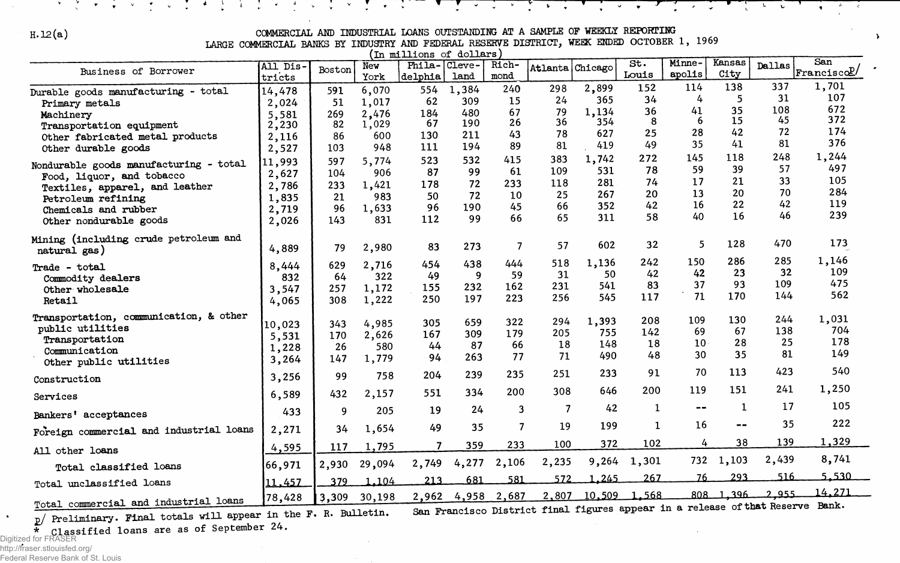### **H. 12(a) COMMERCIAL AND INDUSTRIAL LOANS OUTSTANDING AT A SAMPLE OF WEEKLY REPORTING**

 $\mathcal{A}$ 

 $\mathbf{b}$ 

 $\frac{1}{2}$ 

 $\mathbf{v} = \mathbf{v}$ 

 $\frac{1}{2}$ 

ंस

 $\ddot{\phantom{1}}$ 

**V** 

**LARGE COMMERCIAL BANKS BY INDUSTRY AND FEDERAL RESERVE DISTRICT, WEEK ENDED OCTOBER 1, 1969**

| (In millions of dollars)                              |                    |        |             |                         |       |               |                                                                                     |                    |              |                          |                               |               |                   |
|-------------------------------------------------------|--------------------|--------|-------------|-------------------------|-------|---------------|-------------------------------------------------------------------------------------|--------------------|--------------|--------------------------|-------------------------------|---------------|-------------------|
| Business of Borrower                                  | All Dis-<br>tricts | Boston | New<br>York | Phila-Cleve-<br>delphia | land  | Rich-<br>mond | Atlanta                                                                             | Chicago            | St.<br>Louis | Minne-<br>apolis         | Kansas<br>City                | <b>Dallas</b> | San<br>Franciscol |
| Durable goods manufacturing - total                   | 14,478             | 591    | 6,070       | 554                     | 1,384 | 240           | 298                                                                                 | 2,899              | 152          | 114                      | 138                           | 337           | 1,701             |
| Primary metals                                        | 2,024              | 51     | 1,017       | 62                      | 309   | 15            | 24                                                                                  | 365                | 34           | 4                        | 5                             | 31            | 107               |
| Machinery                                             | 5,581              | 269    | 2,476       | 184                     | 480   | 67            | 79                                                                                  | 1,134              | 36           | 41                       | 35                            | 108           | 672               |
| Transportation equipment                              | 2,230              | 82     | 1,029       | 67                      | 190   | 26            | 36                                                                                  | 354                | 8            | 6                        | 15                            | 45            | 372               |
| Other fabricated metal products                       | 2,116              | 86     | 600         | 130                     | 211   | 43            | 78                                                                                  | 627                | 25           | 28                       | 42                            | 72            | 174               |
| Other durable goods                                   | 2,527              | 103    | 948         | 111                     | 194   | 89            | 81                                                                                  | 419                | 49           | 35                       | 41                            | 81            | 376               |
|                                                       | 11,993             | 597    | 5,774       | 523                     | 532   | 415           | 383                                                                                 | 1,742              | 272          | 145                      | 118                           | 248           | 1,244             |
| Nondurable goods manufacturing - total                | 2,627              | 104    | 906         | 87                      | 99    | 61            | 109                                                                                 | 531                | 78           | 59                       | 39                            | 57            | 497               |
| Food, liquor, and tobacco                             | 2,786              | 233    | 1,421       | 178                     | 72    | 233           | 118                                                                                 | 281                | 74           | 17                       | 21                            | 33            | 105               |
| Textiles, apparel, and leather<br>Petroleum refining  | 1,835              | 21     | 983         | 50                      | 72    | 10            | 25                                                                                  | 267                | 20           | 13                       | 20                            | 70            | 284               |
| Chemicals and rubber                                  | 2,719              | 96     | 1,633       | 96                      | 190   | 45            | 66                                                                                  | 352                | 42           | 16                       | 22                            | 42            | 119               |
| Other nondurable goods                                | 2,026              | 143    | 831         | 112                     | 99    | 66            | 65                                                                                  | 311                | 58           | 40                       | 16                            | 46            | 239               |
|                                                       |                    |        |             |                         |       |               |                                                                                     |                    |              |                          |                               |               |                   |
| Mining (including crude petroleum and<br>natural gas) | 4,889              | 79     | 2,980       | 83                      | 273   | 7             | 57                                                                                  | 602                | 32           | 5                        | 128                           | 470           | 173               |
| Trade - total                                         | 8,444              | 629    | 2,716       | 454                     | 438   | 444           | 518                                                                                 | 1,136              | 242          | 150                      | 286                           | 285           | 1,146             |
| Commodity dealers                                     | 832                | 64     | 322         | 49                      | 9     | 59            | 31                                                                                  | 50                 | 42           | 42                       | 23                            | 32            | 109               |
| Other wholesale                                       | 3,547              | 257    | 1,172       | 155                     | 232   | 162           | 231                                                                                 | 541                | 83           | 37                       | 93                            | 109           | 475               |
| Retail                                                | 4,065              | 308    | 1,222       | 250                     | 197   | 223           | 256                                                                                 | 545                | 117          | 71                       | 170                           | 144           | 562               |
|                                                       |                    |        |             |                         |       |               |                                                                                     |                    |              |                          |                               |               |                   |
| Transportation, communication, & other                | 10,023             | 343    | 4,985       | 305                     | 659   | 322           | 294                                                                                 | 1,393              | 208          | 109                      | 130                           | 244           | 1,031             |
| public utilities                                      | 5,531              | 170    | 2,626       | 167                     | 309   | 179           | 205                                                                                 | 755                | 142          | 69                       | 67                            | 138           | 704               |
| Transportation                                        | 1,228              | 26     | 580         | 44                      | 87    | 66            | 18                                                                                  | 148                | 18           | 10                       | 28                            | 25            | 178               |
| Communication<br>Other public utilities               | 3,264              | 147    | 1,779       | 94                      | 263   | 77            | 71                                                                                  | 490                | 48           | 30                       | 35                            | 81            | 149               |
| Construction                                          | 3,256              | 99     | 758         | 204                     | 239   | 235           | 251                                                                                 | 233                | 91           | 70                       | 113                           | 423           | 540               |
|                                                       |                    |        |             | 551                     | 334   | 200           | 308                                                                                 | 646                | 200          | 119                      | 151                           | 241           | 1,250             |
| Services                                              | 6,589              | 432    | 2,157       |                         |       |               |                                                                                     |                    |              |                          |                               |               |                   |
| Bankers' acceptances                                  | 433                | 9      | 205         | 19                      | 24    | 3             | $\overline{7}$                                                                      | 42                 | 1            | $\overline{\phantom{m}}$ | -1.                           | 17<br>35      | 105<br>222        |
| Foreign commercial and industrial loans               | 2,271              | 34     | 1,654       | 49                      | 35    | 7             | 19                                                                                  | 199                | $\mathbf{1}$ | 16                       | $\blacksquare$ $\blacksquare$ |               |                   |
| All other loans                                       | 4,595              | 117    | 1,795       | $\overline{7}$          | 359   | 233           | 100                                                                                 | 372                | 102          | 4                        | 38                            | 139           | 1,329<br>8,741    |
| Total classified loans                                | 66,971             | 2,930  | 29,094      | 2,749                   | 4,277 | 2,106         | 2,235                                                                               | 9,264              | 1,301        | 732                      | 1,103                         | 2,439<br>516  | 5.530             |
| Total unclassified loans                              | 11,457             | 379    | 1.104       | 213                     | 681   | 581           | 572                                                                                 | .245               | 267          | 76                       | 293                           |               |                   |
| Total commercial and industrial loans                 | 78,428             | 3,309  | 30,198      | 2,962                   |       | 4,958 2,687   | $\ldots$ $\ldots$ at $\ldots$ at $\ldots$ and $\ldots$ in a release of that Reserve | 2,807 10,509 1,568 |              |                          | $808$ 1,396                   | 2.955         | 14,271<br>Rank.   |

**2l Preliminary. Final totals will appear in the F R. Bulletin. San Francisco District final figures appear in a release of that Reserve Bank.**

\* classified loans are as of September **24.** 

さくしゃ ようや ざっと むけんしょしし

िक्र की ह

 $\sim$ 

 $\frac{1}{2}$   $\sqrt{2}$   $\sqrt{2}$   $\sqrt{2}$ 

Digitized for FRASER http://fraser.stlouisfed.org/ Federal Reserve Bank of St. Louis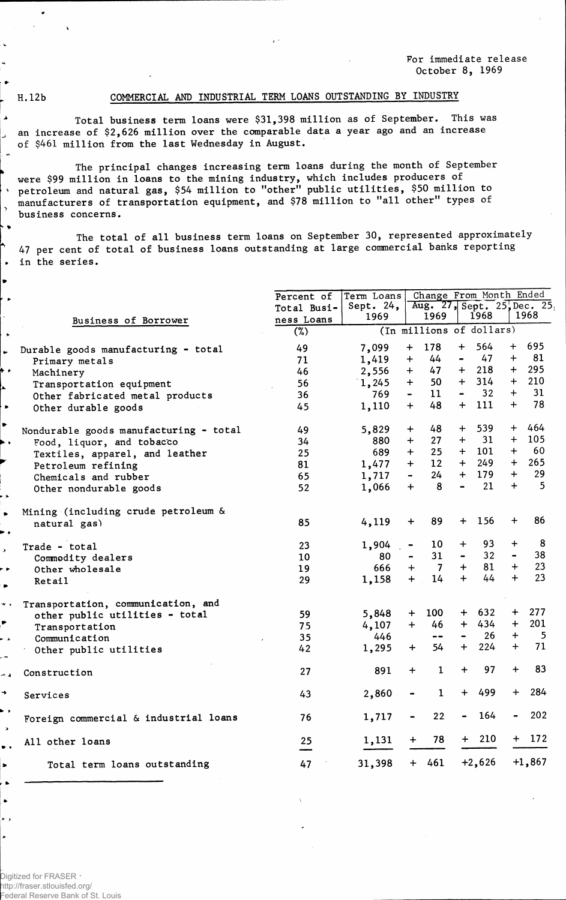**For immediate release October 8, 1969**

لو.

 $\ddot{\phantom{1}}$  $\rightarrow$ . .

 $\bullet$ 

#### **H. 12b COMMERCIAL AND INDUSTRIAL TERM LOANS OUTSTANDING BY INDUSTRY**

**Total business term loans were \$31,398 million as of September• This was an increase of \$2,626 million over the comparable data a year ago and an increase of \$461 million from the last Wednesday in August.**

**The principal changes increasing term loans during the month of September were \$99 million in loans to the mining industry, which includes producers of petroleum and natural gas, \$54 million to "other<sup>11</sup> public utilities, \$50 million to manufacturers of transportation equipment, and \$78 million to "all other" types of business concerns.**

**The total of all business term loans on September 30, represented approximately 47 per cent of total of business loans outstanding at large commercial banks reporting in the series.**

|                                        | Percent of        | Term Loans           |                          |                 |                | Change From Month Ended  |           |                                     |
|----------------------------------------|-------------------|----------------------|--------------------------|-----------------|----------------|--------------------------|-----------|-------------------------------------|
|                                        | Total Busi-       | Sept. $24$ ,<br>1969 |                          | 1969            |                | 1968                     |           | Aug. 27, Sept. 25, Dec. 25,<br>1968 |
| <b>Business of Borrower</b>            | ness Loans<br>(%) |                      |                          |                 |                | (In millions of dollars) |           |                                     |
| Durable goods manufacturing - total    | 49                | 7,099                | 178<br>$\ddot{}$         |                 | $+$            | 564                      | $+$       | 695                                 |
| Primary metals                         | 71                | 1,419                | $+$                      | 44              | $\blacksquare$ | 47                       | $+$       | 81                                  |
| Machinery                              | 46                | 2,556                | $+$                      | 47              | $\ddot{}$      | 218                      | $+$       | 295                                 |
| Transportation equipment               | 56                | 1,245                | $+$                      | 50              | $+$            | 314                      | $+$       | 210                                 |
| Other fabricated metal products        | 36                | 769                  | $\overline{\phantom{0}}$ | 11              | $\blacksquare$ | 32                       | $+$       | 31                                  |
| Other durable goods                    | 45                | 1,110                | $+$                      | 48              | $+$            | 111                      | $+$       | 78                                  |
| Nondurable goods manufacturing - total | 49                | 5,829                | $+$                      | 48              | $+$            | 539                      | $+$       | 464                                 |
| Food, liquor, and tobacco              | 34                | 880                  | $+$                      | 27              | $+$            | 31                       | $+$       | 105                                 |
| Textiles, apparel, and leather         | 25                | 689                  | $+$                      | 25              |                | $+$ 101                  | $+$       | - 60                                |
| Petroleum refining                     | 81                | 1,477                | $+$                      | 12 <sup>7</sup> | $+$            | 249                      | $+$       | 265                                 |
| Chemicals and rubber                   | 65                | 1,717                | $\blacksquare$           | 24              | $+$            | 179                      | $+$       | 29                                  |
| Other nondurable goods                 | 52                | 1,066                | $+$                      | 8               | $\blacksquare$ | 21                       | $+$       | 5                                   |
| Mining (including crude petroleum &    |                   |                      |                          |                 |                |                          |           |                                     |
| natural gas)                           | 85                | 4,119                | $\div$                   | 89              | $+$            | 156                      | $\ddot{}$ | 86                                  |
| Trade - total                          | 23                | 1,904                |                          | 10              | $\ddot{}$      | 93                       | $\div$    | 8                                   |
| Commodity dealers                      | 10                | 80                   |                          | 31              | $\blacksquare$ | 32 <sup>°</sup>          |           | 38                                  |
| Other wholesale                        | 19                | 666                  | $+$                      | $\overline{7}$  | $+$            | 81                       | $+$       | 23                                  |
| Retail                                 | 29                | 1,158                | $+$                      | 14              | $+$            | 44                       | $+$       | 23                                  |
| Transportation, communication, and     |                   |                      |                          |                 |                |                          |           |                                     |
| other public utilities - total         | 59                | 5,848                | $+$                      | 100             | $+$ $-$        | 632                      | $+$       | 277                                 |
| Transportation                         | 75                | 4,107                | $+$                      | 46              | $+$ $-$        | 434                      | $+$       | 201                                 |
| Communication                          | 35                | 446                  |                          | $\blacksquare$  | $\blacksquare$ | 26                       | $+$       | $-5$                                |
| Other public utilities                 | 42                | 1,295                | $+$                      | 54              | $+$            | 224                      | $+$       | 71                                  |
| Construction                           | 27                | 891                  | $+$                      | $\mathbf{1}$    | $\ddag$        | 97                       | $\ddot{}$ | 83                                  |
| Services                               | 43                | 2,860                |                          | $\mathbf 1$     | $+$            | 499                      | $+$       | 284                                 |
| Foreign commercial & industrial loans  | 76                | 1,717                |                          | 22              |                | 164                      |           | 202                                 |
| All other loans                        | 25                | 1,131                |                          | 78              | $+$ $-$        | 210                      |           | $+ 172$                             |
| Total term loans outstanding           | 47                | 31,398               | $+ 461$                  |                 |                | $+2,626$                 |           | $+1,867$                            |
|                                        |                   |                      |                          |                 |                |                          |           |                                     |